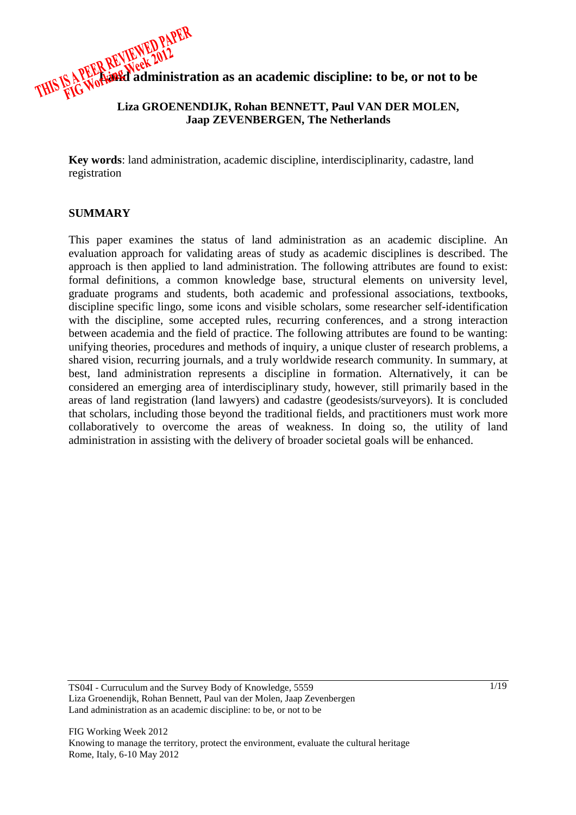**LAND PAPER**<br>LAND Week 2012<br>LAND RIG Working administration as an academic discipline: to be, or not to be

### **Liza GROENENDIJK, Rohan BENNETT, Paul VAN DER MOLEN, Jaap ZEVENBERGEN, The Netherlands**

**Key words**: land administration, academic discipline, interdisciplinarity, cadastre, land registration

#### **SUMMARY**

This paper examines the status of land administration as an academic discipline. An evaluation approach for validating areas of study as academic disciplines is described. The approach is then applied to land administration. The following attributes are found to exist: formal definitions, a common knowledge base, structural elements on university level, graduate programs and students, both academic and professional associations, textbooks, discipline specific lingo, some icons and visible scholars, some researcher self-identification with the discipline, some accepted rules, recurring conferences, and a strong interaction between academia and the field of practice. The following attributes are found to be wanting: unifying theories, procedures and methods of inquiry, a unique cluster of research problems, a shared vision, recurring journals, and a truly worldwide research community. In summary, at best, land administration represents a discipline in formation. Alternatively, it can be considered an emerging area of interdisciplinary study, however, still primarily based in the areas of land registration (land lawyers) and cadastre (geodesists/surveyors). It is concluded that scholars, including those beyond the traditional fields, and practitioners must work more collaboratively to overcome the areas of weakness. In doing so, the utility of land administration in assisting with the delivery of broader societal goals will be enhanced.

TS04I - Curruculum and the Survey Body of Knowledge, 5559 Liza Groenendijk, Rohan Bennett, Paul van der Molen, Jaap Zevenbergen Land administration as an academic discipline: to be, or not to be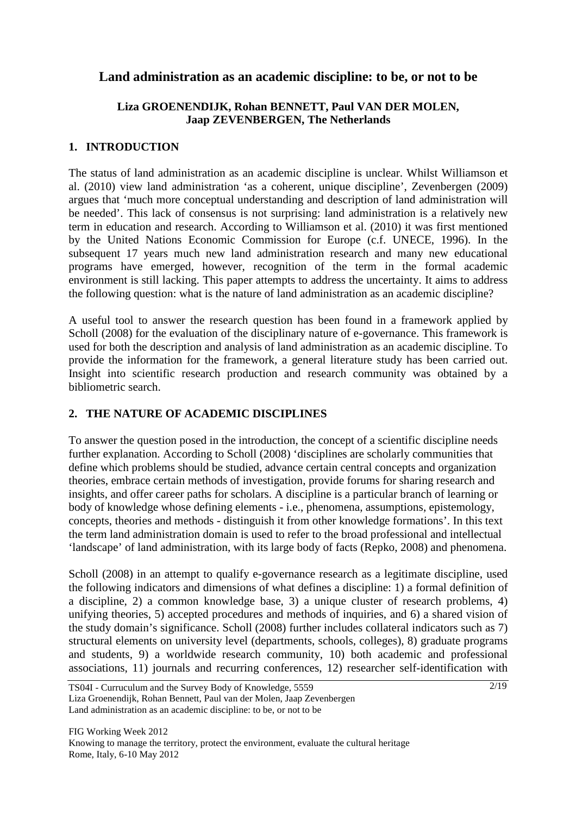# **Land administration as an academic discipline: to be, or not to be**

## **Liza GROENENDIJK, Rohan BENNETT, Paul VAN DER MOLEN, Jaap ZEVENBERGEN, The Netherlands**

## **1. INTRODUCTION**

The status of land administration as an academic discipline is unclear. Whilst Williamson et al. (2010) view land administration 'as a coherent, unique discipline', Zevenbergen (2009) argues that 'much more conceptual understanding and description of land administration will be needed'. This lack of consensus is not surprising: land administration is a relatively new term in education and research. According to Williamson et al. (2010) it was first mentioned by the United Nations Economic Commission for Europe (c.f. UNECE, 1996). In the subsequent 17 years much new land administration research and many new educational programs have emerged, however, recognition of the term in the formal academic environment is still lacking. This paper attempts to address the uncertainty. It aims to address the following question: what is the nature of land administration as an academic discipline?

A useful tool to answer the research question has been found in a framework applied by Scholl (2008) for the evaluation of the disciplinary nature of e-governance. This framework is used for both the description and analysis of land administration as an academic discipline. To provide the information for the framework, a general literature study has been carried out. Insight into scientific research production and research community was obtained by a bibliometric search.

## **2. THE NATURE OF ACADEMIC DISCIPLINES**

To answer the question posed in the introduction, the concept of a scientific discipline needs further explanation. According to Scholl (2008) 'disciplines are scholarly communities that define which problems should be studied, advance certain central concepts and organization theories, embrace certain methods of investigation, provide forums for sharing research and insights, and offer career paths for scholars. A discipline is a particular branch of learning or body of knowledge whose defining elements - i.e., phenomena, assumptions, epistemology, concepts, theories and methods - distinguish it from other knowledge formations'. In this text the term land administration domain is used to refer to the broad professional and intellectual 'landscape' of land administration, with its large body of facts (Repko, 2008) and phenomena.

Scholl (2008) in an attempt to qualify e-governance research as a legitimate discipline, used the following indicators and dimensions of what defines a discipline: 1) a formal definition of a discipline, 2) a common knowledge base, 3) a unique cluster of research problems, 4) unifying theories, 5) accepted procedures and methods of inquiries, and 6) a shared vision of the study domain's significance. Scholl (2008) further includes collateral indicators such as 7) structural elements on university level (departments, schools, colleges), 8) graduate programs and students, 9) a worldwide research community, 10) both academic and professional associations, 11) journals and recurring conferences, 12) researcher self-identification with

TS04I - Curruculum and the Survey Body of Knowledge, 5559 Liza Groenendijk, Rohan Bennett, Paul van der Molen, Jaap Zevenbergen Land administration as an academic discipline: to be, or not to be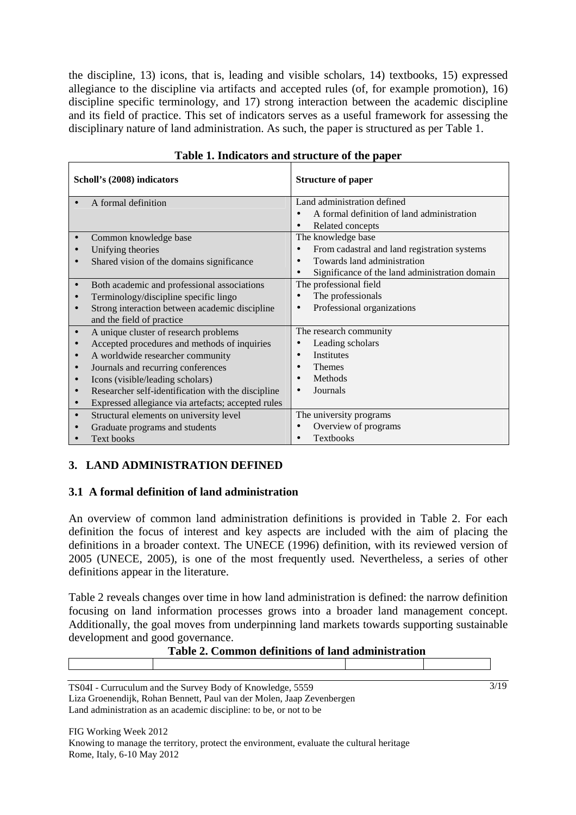the discipline, 13) icons, that is, leading and visible scholars, 14) textbooks, 15) expressed allegiance to the discipline via artifacts and accepted rules (of, for example promotion), 16) discipline specific terminology, and 17) strong interaction between the academic discipline and its field of practice. This set of indicators serves as a useful framework for assessing the disciplinary nature of land administration. As such, the paper is structured as per Table 1.

|           | Scholl's (2008) indicators                         | <b>Structure of paper</b>                      |
|-----------|----------------------------------------------------|------------------------------------------------|
|           | A formal definition                                | Land administration defined                    |
|           |                                                    | A formal definition of land administration     |
|           |                                                    | Related concepts                               |
| $\bullet$ | Common knowledge base                              | The knowledge base                             |
|           | Unifying theories                                  | From cadastral and land registration systems   |
|           | Shared vision of the domains significance          | Towards land administration                    |
|           |                                                    | Significance of the land administration domain |
| $\bullet$ | Both academic and professional associations        | The professional field                         |
| $\bullet$ | Terminology/discipline specific lingo              | The professionals<br>$\bullet$                 |
|           | Strong interaction between academic discipline     | Professional organizations                     |
|           | and the field of practice                          |                                                |
| $\bullet$ | A unique cluster of research problems              | The research community                         |
| $\bullet$ | Accepted procedures and methods of inquiries       | Leading scholars                               |
| $\bullet$ | A worldwide researcher community                   | <b>Institutes</b>                              |
| $\bullet$ | Journals and recurring conferences                 | <b>Themes</b>                                  |
| $\bullet$ | Icons (visible/leading scholars)                   | Methods<br>$\bullet$                           |
| $\bullet$ | Researcher self-identification with the discipline | Journals                                       |
| $\bullet$ | Expressed allegiance via artefacts; accepted rules |                                                |
| $\bullet$ | Structural elements on university level            | The university programs                        |
| $\bullet$ | Graduate programs and students                     | Overview of programs                           |
|           | Text books                                         | <b>Textbooks</b>                               |

### **Table 1. Indicators and structure of the paper**

# **3. LAND ADMINISTRATION DEFINED**

## **3.1 A formal definition of land administration**

An overview of common land administration definitions is provided in Table 2. For each definition the focus of interest and key aspects are included with the aim of placing the definitions in a broader context. The UNECE (1996) definition, with its reviewed version of 2005 (UNECE, 2005), is one of the most frequently used. Nevertheless, a series of other definitions appear in the literature.

Table 2 reveals changes over time in how land administration is defined: the narrow definition focusing on land information processes grows into a broader land management concept. Additionally, the goal moves from underpinning land markets towards supporting sustainable development and good governance.

|  |  |  |  | Table 2. Common definitions of land administration |
|--|--|--|--|----------------------------------------------------|
|--|--|--|--|----------------------------------------------------|

| $\pi$ <sup>0 <math>\pi</math> <math>\alpha</math> <math>\beta</math></sup> |  | $\sim$ |  | $\mathbf{D}$ 1 $\mathbf{C}$ $\mathbf{Y}$ |  | $\sim$ 1 1 $\sim$ $\sim$ $\sim$ $\sim$ |  |
|----------------------------------------------------------------------------|--|--------|--|------------------------------------------|--|----------------------------------------|--|

3/19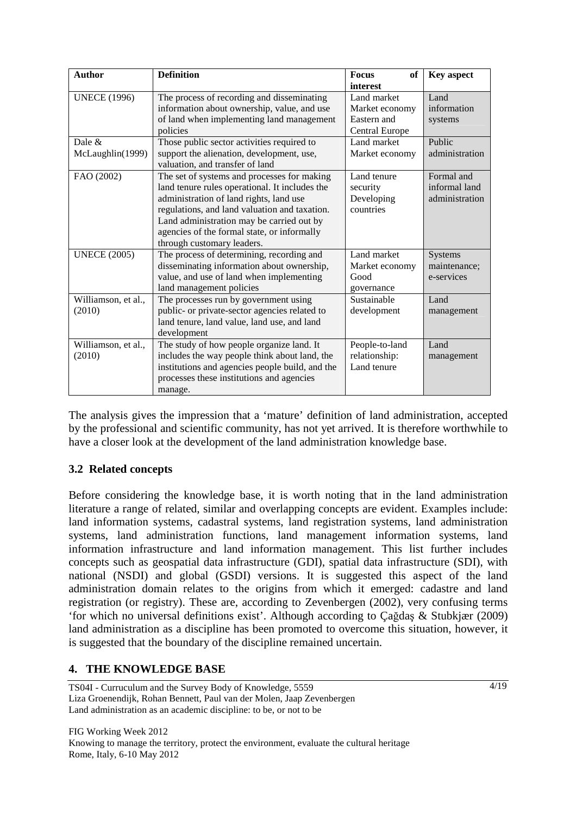| <b>Author</b>       | <b>Definition</b>                               | <b>Focus</b><br>of | <b>Key aspect</b> |
|---------------------|-------------------------------------------------|--------------------|-------------------|
|                     |                                                 | interest           |                   |
| <b>UNECE (1996)</b> | The process of recording and disseminating      | Land market        | Land              |
|                     | information about ownership, value, and use     | Market economy     | information       |
|                     | of land when implementing land management       | Eastern and        | systems           |
|                     | policies                                        | Central Europe     |                   |
| Dale $\&$           | Those public sector activities required to      | Land market        | Public            |
| McLaughlin(1999)    | support the alienation, development, use,       | Market economy     | administration    |
|                     | valuation, and transfer of land                 |                    |                   |
| FAO (2002)          | The set of systems and processes for making     | Land tenure        | Formal and        |
|                     | land tenure rules operational. It includes the  | security           | informal land     |
|                     | administration of land rights, land use         | Developing         | administration    |
|                     | regulations, and land valuation and taxation.   | countries          |                   |
|                     | Land administration may be carried out by       |                    |                   |
|                     | agencies of the formal state, or informally     |                    |                   |
|                     | through customary leaders.                      |                    |                   |
| <b>UNECE (2005)</b> | The process of determining, recording and       | Land market        | <b>Systems</b>    |
|                     | disseminating information about ownership,      | Market economy     | maintenance;      |
|                     | value, and use of land when implementing        | Good               | e-services        |
|                     | land management policies                        | governance         |                   |
| Williamson, et al., | The processes run by government using           | Sustainable        | Land              |
| (2010)              | public- or private-sector agencies related to   | development        | management        |
|                     | land tenure, land value, land use, and land     |                    |                   |
|                     | development                                     |                    |                   |
| Williamson, et al., | The study of how people organize land. It       | People-to-land     | Land              |
| (2010)              | includes the way people think about land, the   | relationship:      | management        |
|                     | institutions and agencies people build, and the | Land tenure        |                   |
|                     | processes these institutions and agencies       |                    |                   |
|                     | manage.                                         |                    |                   |

The analysis gives the impression that a 'mature' definition of land administration, accepted by the professional and scientific community, has not yet arrived. It is therefore worthwhile to have a closer look at the development of the land administration knowledge base.

## **3.2 Related concepts**

Before considering the knowledge base, it is worth noting that in the land administration literature a range of related, similar and overlapping concepts are evident. Examples include: land information systems, cadastral systems, land registration systems, land administration systems, land administration functions, land management information systems, land information infrastructure and land information management. This list further includes concepts such as geospatial data infrastructure (GDI), spatial data infrastructure (SDI), with national (NSDI) and global (GSDI) versions. It is suggested this aspect of the land administration domain relates to the origins from which it emerged: cadastre and land registration (or registry). These are, according to Zevenbergen (2002), very confusing terms 'for which no universal definitions exist'. Although according to Çağdaş & Stubkjær (2009) land administration as a discipline has been promoted to overcome this situation, however, it is suggested that the boundary of the discipline remained uncertain.

## **4. THE KNOWLEDGE BASE**

TS04I - Curruculum and the Survey Body of Knowledge, 5559 Liza Groenendijk, Rohan Bennett, Paul van der Molen, Jaap Zevenbergen Land administration as an academic discipline: to be, or not to be

4/19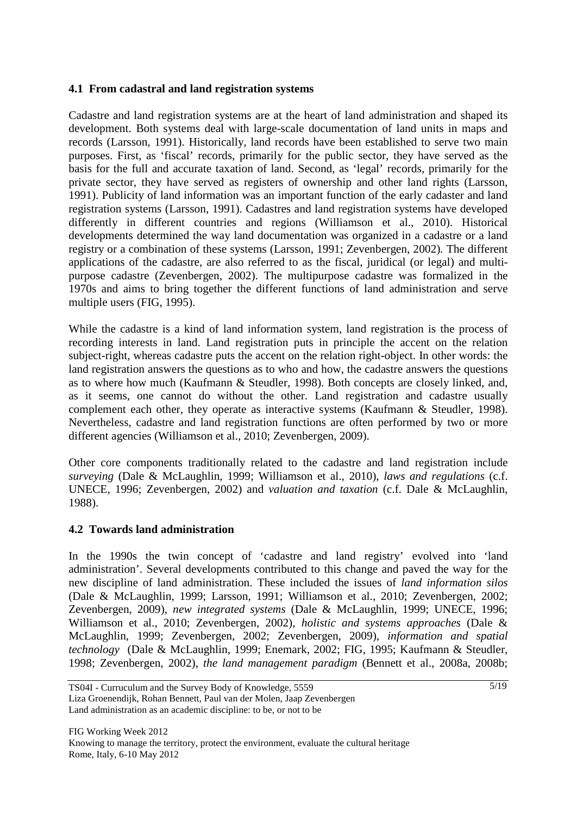### **4.1 From cadastral and land registration systems**

Cadastre and land registration systems are at the heart of land administration and shaped its development. Both systems deal with large-scale documentation of land units in maps and records (Larsson, 1991). Historically, land records have been established to serve two main purposes. First, as 'fiscal' records, primarily for the public sector, they have served as the basis for the full and accurate taxation of land. Second, as 'legal' records, primarily for the private sector, they have served as registers of ownership and other land rights (Larsson, 1991). Publicity of land information was an important function of the early cadaster and land registration systems (Larsson, 1991). Cadastres and land registration systems have developed differently in different countries and regions (Williamson et al., 2010). Historical developments determined the way land documentation was organized in a cadastre or a land registry or a combination of these systems (Larsson, 1991; Zevenbergen, 2002)*.* The different applications of the cadastre, are also referred to as the fiscal, juridical (or legal) and multipurpose cadastre (Zevenbergen, 2002). The multipurpose cadastre was formalized in the 1970s and aims to bring together the different functions of land administration and serve multiple users (FIG, 1995).

While the cadastre is a kind of land information system, land registration is the process of recording interests in land. Land registration puts in principle the accent on the relation subject-right, whereas cadastre puts the accent on the relation right-object. In other words: the land registration answers the questions as to who and how, the cadastre answers the questions as to where how much (Kaufmann & Steudler, 1998). Both concepts are closely linked, and, as it seems, one cannot do without the other. Land registration and cadastre usually complement each other, they operate as interactive systems (Kaufmann & Steudler, 1998). Nevertheless, cadastre and land registration functions are often performed by two or more different agencies (Williamson et al., 2010; Zevenbergen, 2009).

Other core components traditionally related to the cadastre and land registration include *surveying* (Dale & McLaughlin, 1999; Williamson et al., 2010), *laws and regulations* (c.f. UNECE, 1996; Zevenbergen, 2002) and *valuation and taxation* (c.f. Dale & McLaughlin, 1988).

## **4.2 Towards land administration**

In the 1990s the twin concept of 'cadastre and land registry' evolved into 'land administration'. Several developments contributed to this change and paved the way for the new discipline of land administration. These included the issues of *land information silos* (Dale & McLaughlin, 1999; Larsson, 1991; Williamson et al., 2010; Zevenbergen, 2002; Zevenbergen, 2009), *new integrated systems* (Dale & McLaughlin, 1999; UNECE, 1996; Williamson et al., 2010; Zevenbergen, 2002), *holistic and systems approaches* (Dale & McLaughlin, 1999; Zevenbergen, 2002; Zevenbergen, 2009), *information and spatial technology* (Dale & McLaughlin, 1999; Enemark, 2002; FIG, 1995; Kaufmann & Steudler, 1998; Zevenbergen, 2002), *the land management paradigm* (Bennett et al., 2008a, 2008b;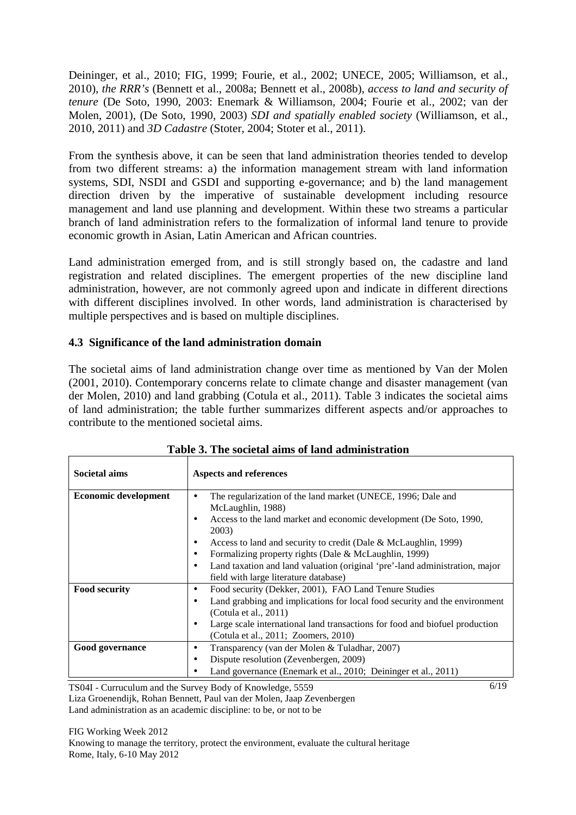Deininger, et al., 2010; FIG, 1999; Fourie, et al., 2002; UNECE, 2005; Williamson, et al., 2010), *the RRR's* (Bennett et al., 2008a; Bennett et al., 2008b), *access to land and security of tenure* (De Soto, 1990, 2003: Enemark & Williamson, 2004; Fourie et al., 2002; van der Molen, 2001), (De Soto, 1990, 2003) *SDI and spatially enabled society* (Williamson, et al., 2010, 2011) and *3D Cadastre* (Stoter, 2004; Stoter et al., 2011).

From the synthesis above, it can be seen that land administration theories tended to develop from two different streams: a) the information management stream with land information systems, SDI, NSDI and GSDI and supporting e-governance; and b) the land management direction driven by the imperative of sustainable development including resource management and land use planning and development. Within these two streams a particular branch of land administration refers to the formalization of informal land tenure to provide economic growth in Asian, Latin American and African countries.

Land administration emerged from, and is still strongly based on, the cadastre and land registration and related disciplines. The emergent properties of the new discipline land administration, however, are not commonly agreed upon and indicate in different directions with different disciplines involved. In other words, land administration is characterised by multiple perspectives and is based on multiple disciplines.

## **4.3 Significance of the land administration domain**

The societal aims of land administration change over time as mentioned by Van der Molen (2001, 2010). Contemporary concerns relate to climate change and disaster management (van der Molen, 2010) and land grabbing (Cotula et al., 2011). Table 3 indicates the societal aims of land administration; the table further summarizes different aspects and/or approaches to contribute to the mentioned societal aims.

| <b>Societal aims</b>        | <b>Aspects and references</b>                                                                                                    |
|-----------------------------|----------------------------------------------------------------------------------------------------------------------------------|
| <b>Economic development</b> | The regularization of the land market (UNECE, 1996; Dale and<br>٠<br>McLaughlin, 1988)                                           |
|                             | Access to the land market and economic development (De Soto, 1990,<br>٠<br>2003)                                                 |
|                             | Access to land and security to credit (Dale & McLaughlin, 1999)<br>٠                                                             |
|                             | Formalizing property rights (Dale & McLaughlin, 1999)<br>٠                                                                       |
|                             | Land taxation and land valuation (original 'pre'-land administration, major<br>$\bullet$                                         |
|                             | field with large literature database)                                                                                            |
| <b>Food security</b>        | Food security (Dekker, 2001), FAO Land Tenure Studies<br>$\bullet$                                                               |
|                             | Land grabbing and implications for local food security and the environment<br>٠<br>(Cotula et al., 2011)                         |
|                             | Large scale international land transactions for food and biofuel production<br>$\bullet$<br>(Cotula et al., 2011; Zoomers, 2010) |
| Good governance             | Transparency (van der Molen & Tuladhar, 2007)<br>٠                                                                               |
|                             | Dispute resolution (Zevenbergen, 2009)<br>٠                                                                                      |
|                             |                                                                                                                                  |
|                             | Land governance (Enemark et al., 2010; Deininger et al., 2011)<br>٠                                                              |
|                             | 6/19<br>TS04I - Curruculum and the Survey Body of Knowledge, 5559                                                                |

| Table 3. The societal aims of land administration |  |  |  |  |
|---------------------------------------------------|--|--|--|--|
|---------------------------------------------------|--|--|--|--|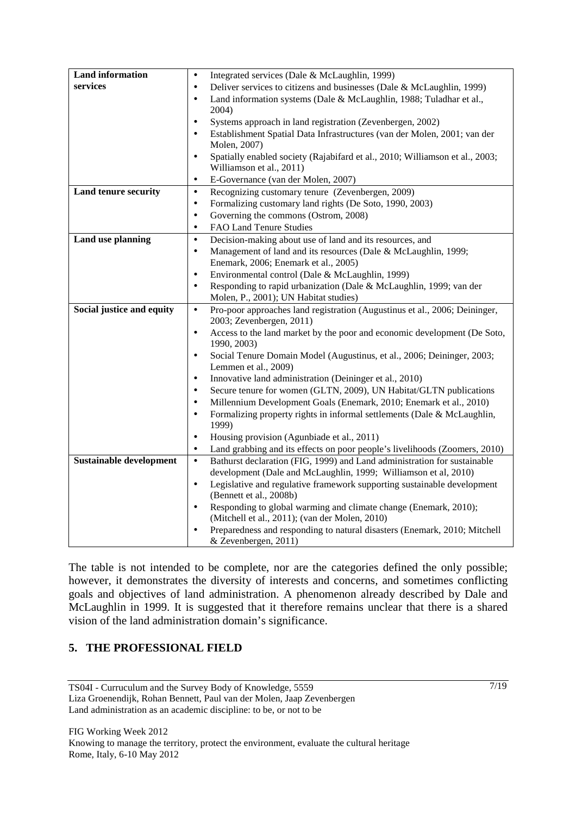| <b>Land information</b>        | Integrated services (Dale & McLaughlin, 1999)<br>$\bullet$                                                          |
|--------------------------------|---------------------------------------------------------------------------------------------------------------------|
| services                       | Deliver services to citizens and businesses (Dale & McLaughlin, 1999)<br>$\bullet$                                  |
|                                | Land information systems (Dale & McLaughlin, 1988; Tuladhar et al.,<br>$\bullet$                                    |
|                                | 2004)                                                                                                               |
|                                | Systems approach in land registration (Zevenbergen, 2002)<br>$\bullet$                                              |
|                                | Establishment Spatial Data Infrastructures (van der Molen, 2001; van der<br>$\bullet$                               |
|                                | Molen, 2007)                                                                                                        |
|                                | Spatially enabled society (Rajabifard et al., 2010; Williamson et al., 2003;                                        |
|                                | Williamson et al., 2011)                                                                                            |
|                                | E-Governance (van der Molen, 2007)<br>$\bullet$                                                                     |
| Land tenure security           | Recognizing customary tenure (Zevenbergen, 2009)<br>$\bullet$                                                       |
|                                | Formalizing customary land rights (De Soto, 1990, 2003)<br>$\bullet$                                                |
|                                | Governing the commons (Ostrom, 2008)<br>$\bullet$                                                                   |
|                                | FAO Land Tenure Studies<br>$\bullet$                                                                                |
| Land use planning              | Decision-making about use of land and its resources, and<br>$\bullet$                                               |
|                                | Management of land and its resources (Dale & McLaughlin, 1999;<br>$\bullet$                                         |
|                                | Enemark, 2006; Enemark et al., 2005)                                                                                |
|                                | Environmental control (Dale & McLaughlin, 1999)<br>$\bullet$                                                        |
|                                | Responding to rapid urbanization (Dale & McLaughlin, 1999; van der<br>$\bullet$                                     |
|                                | Molen, P., 2001); UN Habitat studies)                                                                               |
| Social justice and equity      | Pro-poor approaches land registration (Augustinus et al., 2006; Deininger,<br>$\bullet$<br>2003; Zevenbergen, 2011) |
|                                | Access to the land market by the poor and economic development (De Soto,<br>$\bullet$<br>1990, 2003)                |
|                                | Social Tenure Domain Model (Augustinus, et al., 2006; Deininger, 2003;<br>$\bullet$                                 |
|                                | Lemmen et al., 2009)                                                                                                |
|                                | Innovative land administration (Deininger et al., 2010)<br>$\bullet$                                                |
|                                | Secure tenure for women (GLTN, 2009), UN Habitat/GLTN publications<br>$\bullet$                                     |
|                                | Millennium Development Goals (Enemark, 2010; Enemark et al., 2010)<br>$\bullet$                                     |
|                                | Formalizing property rights in informal settlements (Dale & McLaughlin,<br>$\bullet$                                |
|                                | 1999)                                                                                                               |
|                                | Housing provision (Agunbiade et al., 2011)<br>$\bullet$                                                             |
|                                | Land grabbing and its effects on poor people's livelihoods (Zoomers, 2010)<br>$\bullet$                             |
| <b>Sustainable development</b> | Bathurst declaration (FIG, 1999) and Land administration for sustainable<br>$\bullet$                               |
|                                | development (Dale and McLaughlin, 1999; Williamson et al, 2010)                                                     |
|                                | Legislative and regulative framework supporting sustainable development<br>$\bullet$                                |
|                                | (Bennett et al., 2008b)                                                                                             |
|                                | Responding to global warming and climate change (Enemark, 2010);<br>$\bullet$                                       |
|                                | (Mitchell et al., 2011); (van der Molen, 2010)                                                                      |
|                                | Preparedness and responding to natural disasters (Enemark, 2010; Mitchell<br>$\bullet$<br>& Zevenbergen, 2011)      |

The table is not intended to be complete, nor are the categories defined the only possible; however, it demonstrates the diversity of interests and concerns, and sometimes conflicting goals and objectives of land administration. A phenomenon already described by Dale and McLaughlin in 1999. It is suggested that it therefore remains unclear that there is a shared vision of the land administration domain's significance.

## **5. THE PROFESSIONAL FIELD**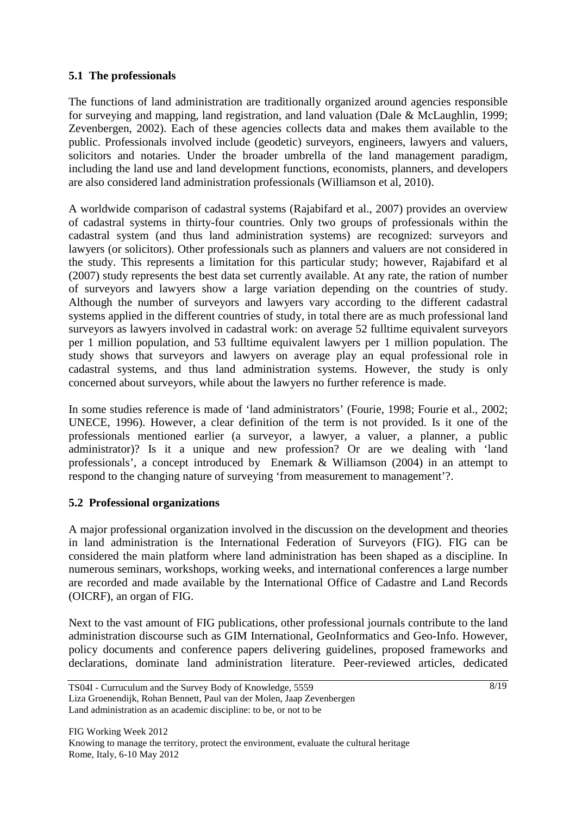## **5.1 The professionals**

The functions of land administration are traditionally organized around agencies responsible for surveying and mapping, land registration, and land valuation (Dale & McLaughlin, 1999; Zevenbergen, 2002). Each of these agencies collects data and makes them available to the public. Professionals involved include (geodetic) surveyors, engineers, lawyers and valuers, solicitors and notaries. Under the broader umbrella of the land management paradigm, including the land use and land development functions, economists, planners, and developers are also considered land administration professionals (Williamson et al, 2010).

A worldwide comparison of cadastral systems (Rajabifard et al., 2007) provides an overview of cadastral systems in thirty-four countries. Only two groups of professionals within the cadastral system (and thus land administration systems) are recognized: surveyors and lawyers (or solicitors). Other professionals such as planners and valuers are not considered in the study. This represents a limitation for this particular study; however, Rajabifard et al (2007) study represents the best data set currently available. At any rate, the ration of number of surveyors and lawyers show a large variation depending on the countries of study. Although the number of surveyors and lawyers vary according to the different cadastral systems applied in the different countries of study, in total there are as much professional land surveyors as lawyers involved in cadastral work: on average 52 fulltime equivalent surveyors per 1 million population, and 53 fulltime equivalent lawyers per 1 million population. The study shows that surveyors and lawyers on average play an equal professional role in cadastral systems, and thus land administration systems. However, the study is only concerned about surveyors, while about the lawyers no further reference is made.

In some studies reference is made of 'land administrators' (Fourie, 1998; Fourie et al., 2002; UNECE, 1996). However, a clear definition of the term is not provided. Is it one of the professionals mentioned earlier (a surveyor, a lawyer, a valuer, a planner, a public administrator)? Is it a unique and new profession? Or are we dealing with 'land professionals', a concept introduced by Enemark & Williamson (2004) in an attempt to respond to the changing nature of surveying 'from measurement to management'?.

# **5.2 Professional organizations**

A major professional organization involved in the discussion on the development and theories in land administration is the International Federation of Surveyors (FIG). FIG can be considered the main platform where land administration has been shaped as a discipline. In numerous seminars, workshops, working weeks, and international conferences a large number are recorded and made available by the International Office of Cadastre and Land Records (OICRF), an organ of FIG.

Next to the vast amount of FIG publications, other professional journals contribute to the land administration discourse such as GIM International, GeoInformatics and Geo-Info. However, policy documents and conference papers delivering guidelines, proposed frameworks and declarations, dominate land administration literature. Peer-reviewed articles, dedicated

TS04I - Curruculum and the Survey Body of Knowledge, 5559 Liza Groenendijk, Rohan Bennett, Paul van der Molen, Jaap Zevenbergen Land administration as an academic discipline: to be, or not to be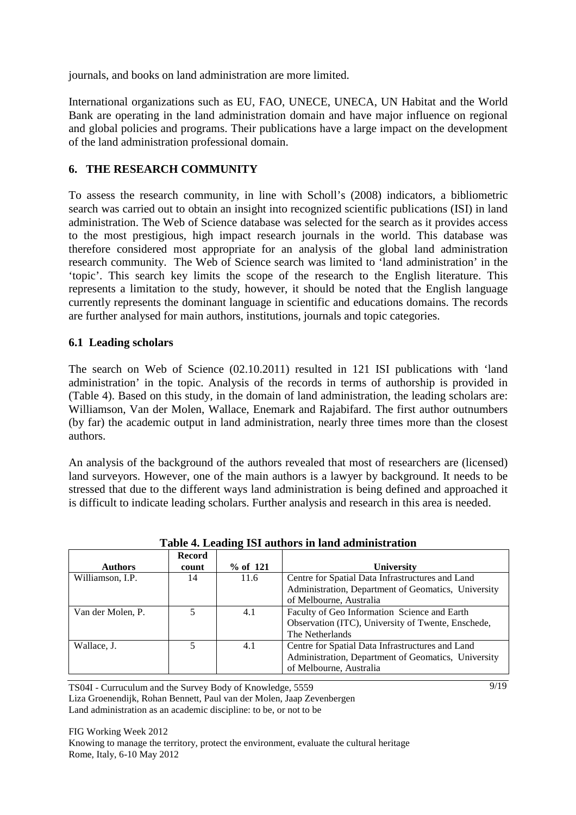journals, and books on land administration are more limited.

International organizations such as EU, FAO, UNECE, UNECA, UN Habitat and the World Bank are operating in the land administration domain and have major influence on regional and global policies and programs. Their publications have a large impact on the development of the land administration professional domain.

## **6. THE RESEARCH COMMUNITY**

To assess the research community, in line with Scholl's (2008) indicators, a bibliometric search was carried out to obtain an insight into recognized scientific publications (ISI) in land administration. The Web of Science database was selected for the search as it provides access to the most prestigious, high impact research journals in the world. This database was therefore considered most appropriate for an analysis of the global land administration research community. The Web of Science search was limited to 'land administration' in the 'topic'. This search key limits the scope of the research to the English literature. This represents a limitation to the study, however, it should be noted that the English language currently represents the dominant language in scientific and educations domains. The records are further analysed for main authors, institutions, journals and topic categories.

### **6.1 Leading scholars**

The search on Web of Science (02.10.2011) resulted in 121 ISI publications with 'land administration' in the topic. Analysis of the records in terms of authorship is provided in (Table 4). Based on this study, in the domain of land administration, the leading scholars are: Williamson, Van der Molen, Wallace, Enemark and Rajabifard. The first author outnumbers (by far) the academic output in land administration, nearly three times more than the closest authors.

An analysis of the background of the authors revealed that most of researchers are (licensed) land surveyors. However, one of the main authors is a lawyer by background. It needs to be stressed that due to the different ways land administration is being defined and approached it is difficult to indicate leading scholars. Further analysis and research in this area is needed.

|                   | <b>Record</b> |            |                                                     |
|-------------------|---------------|------------|-----------------------------------------------------|
| <b>Authors</b>    | count         | $%$ of 121 | <b>University</b>                                   |
| Williamson, I.P.  | 14            | 11.6       | Centre for Spatial Data Infrastructures and Land    |
|                   |               |            | Administration, Department of Geomatics, University |
|                   |               |            | of Melbourne, Australia                             |
| Van der Molen, P. |               | 4.1        | Faculty of Geo Information Science and Earth        |
|                   |               |            | Observation (ITC), University of Twente, Enschede,  |
|                   |               |            | The Netherlands                                     |
| Wallace, J.       |               | 4.1        | Centre for Spatial Data Infrastructures and Land    |
|                   |               |            | Administration, Department of Geomatics, University |
|                   |               |            | of Melbourne, Australia                             |

9/19

|  |  |  | Table 4. Leading ISI authors in land administration |
|--|--|--|-----------------------------------------------------|
|  |  |  |                                                     |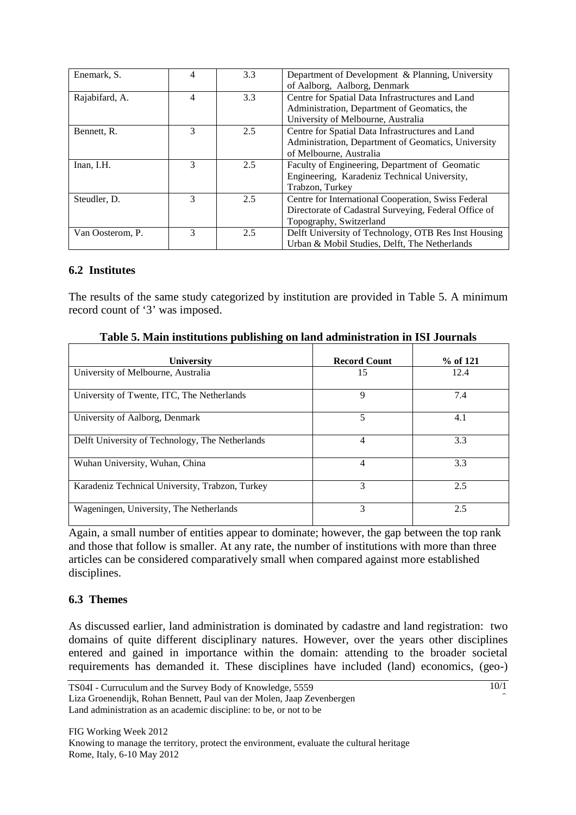| Enemark, S.      | 4 | 3.3 | Department of Development & Planning, University      |
|------------------|---|-----|-------------------------------------------------------|
|                  |   |     | of Aalborg, Aalborg, Denmark                          |
| Rajabifard, A.   | 4 | 3.3 | Centre for Spatial Data Infrastructures and Land      |
|                  |   |     | Administration, Department of Geomatics, the          |
|                  |   |     | University of Melbourne, Australia                    |
| Bennett, R.      | 3 | 2.5 | Centre for Spatial Data Infrastructures and Land      |
|                  |   |     | Administration, Department of Geomatics, University   |
|                  |   |     | of Melbourne, Australia                               |
| Inan, I.H.       | 3 | 2.5 | Faculty of Engineering, Department of Geomatic        |
|                  |   |     | Engineering, Karadeniz Technical University,          |
|                  |   |     | Trabzon, Turkey                                       |
| Steudler, D.     |   |     |                                                       |
|                  | 3 | 2.5 | Centre for International Cooperation, Swiss Federal   |
|                  |   |     | Directorate of Cadastral Surveying, Federal Office of |
|                  |   |     | Topography, Switzerland                               |
| Van Oosterom, P. | 3 | 2.5 | Delft University of Technology, OTB Res Inst Housing  |

### **6.2 Institutes**

The results of the same study categorized by institution are provided in Table 5. A minimum record count of '3' was imposed.

| <b>University</b>                               | <b>Record Count</b> | $%$ of 121 |
|-------------------------------------------------|---------------------|------------|
| University of Melbourne, Australia              | 15                  | 12.4       |
| University of Twente, ITC, The Netherlands      | 9                   | 7.4        |
| University of Aalborg, Denmark                  | 5                   | 4.1        |
| Delft University of Technology, The Netherlands | 4                   | 3.3        |
| Wuhan University, Wuhan, China                  | 4                   | 3.3        |
| Karadeniz Technical University, Trabzon, Turkey | 3                   | 2.5        |
| Wageningen, University, The Netherlands         | 3                   | 2.5        |

**Table 5. Main institutions publishing on land administration in ISI Journals** 

Again, a small number of entities appear to dominate; however, the gap between the top rank and those that follow is smaller. At any rate, the number of institutions with more than three articles can be considered comparatively small when compared against more established disciplines.

## **6.3 Themes**

As discussed earlier, land administration is dominated by cadastre and land registration: two domains of quite different disciplinary natures. However, over the years other disciplines entered and gained in importance within the domain: attending to the broader societal requirements has demanded it. These disciplines have included (land) economics, (geo-)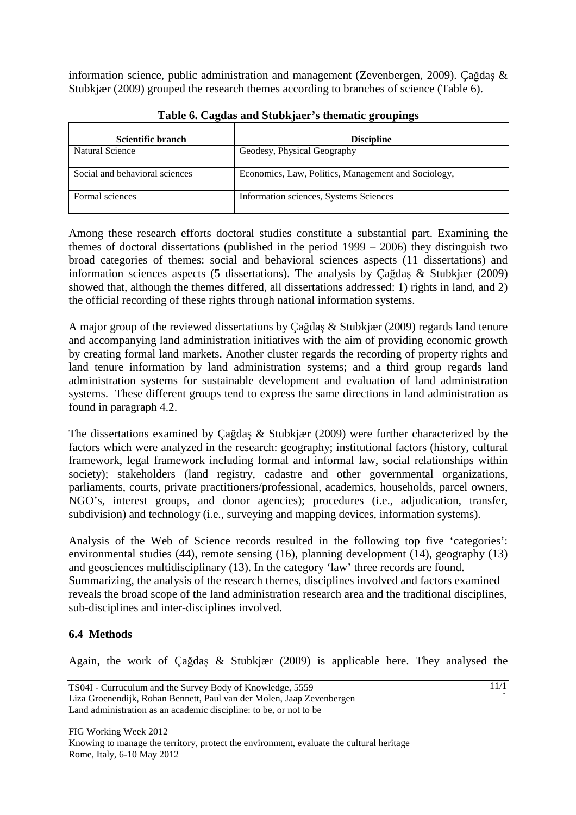information science, public administration and management (Zevenbergen, 2009). Çağdaş & Stubkjær (2009) grouped the research themes according to branches of science (Table 6).

| <b>Scientific branch</b>       | <b>Discipline</b>                                   |
|--------------------------------|-----------------------------------------------------|
| Natural Science                | Geodesy, Physical Geography                         |
| Social and behavioral sciences | Economics, Law, Politics, Management and Sociology, |
| Formal sciences                | Information sciences, Systems Sciences              |

## **Table 6. Cagdas and Stubkjaer's thematic groupings**

Among these research efforts doctoral studies constitute a substantial part. Examining the themes of doctoral dissertations (published in the period 1999 – 2006) they distinguish two broad categories of themes: social and behavioral sciences aspects (11 dissertations) and information sciences aspects (5 dissertations). The analysis by Çağdaş & Stubkjær (2009) showed that, although the themes differed, all dissertations addressed: 1) rights in land, and 2) the official recording of these rights through national information systems.

A major group of the reviewed dissertations by Çağdaş & Stubkjær (2009) regards land tenure and accompanying land administration initiatives with the aim of providing economic growth by creating formal land markets. Another cluster regards the recording of property rights and land tenure information by land administration systems; and a third group regards land administration systems for sustainable development and evaluation of land administration systems. These different groups tend to express the same directions in land administration as found in paragraph 4.2.

The dissertations examined by Çağdaş & Stubkjær (2009) were further characterized by the factors which were analyzed in the research: geography; institutional factors (history, cultural framework, legal framework including formal and informal law, social relationships within society); stakeholders (land registry, cadastre and other governmental organizations, parliaments, courts, private practitioners/professional, academics, households, parcel owners, NGO's, interest groups, and donor agencies); procedures (i.e., adjudication, transfer, subdivision) and technology (i.e., surveying and mapping devices, information systems).

Analysis of the Web of Science records resulted in the following top five 'categories': environmental studies (44), remote sensing (16), planning development (14), geography (13) and geosciences multidisciplinary (13). In the category 'law' three records are found. Summarizing, the analysis of the research themes, disciplines involved and factors examined reveals the broad scope of the land administration research area and the traditional disciplines, sub-disciplines and inter-disciplines involved.

# **6.4 Methods**

Again, the work of Çağdaş & Stubkjær (2009) is applicable here. They analysed the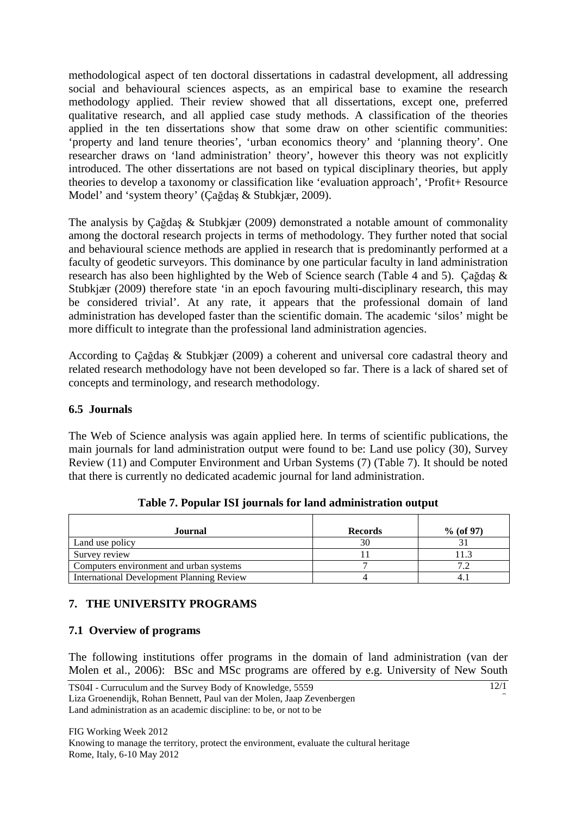methodological aspect of ten doctoral dissertations in cadastral development, all addressing social and behavioural sciences aspects, as an empirical base to examine the research methodology applied. Their review showed that all dissertations, except one, preferred qualitative research, and all applied case study methods. A classification of the theories applied in the ten dissertations show that some draw on other scientific communities: 'property and land tenure theories', 'urban economics theory' and 'planning theory'. One researcher draws on 'land administration' theory', however this theory was not explicitly introduced. The other dissertations are not based on typical disciplinary theories, but apply theories to develop a taxonomy or classification like 'evaluation approach', 'Profit+ Resource Model' and 'system theory' (Çağdaş & Stubkjær, 2009).

The analysis by Çağdaş & Stubkjær (2009) demonstrated a notable amount of commonality among the doctoral research projects in terms of methodology. They further noted that social and behavioural science methods are applied in research that is predominantly performed at a faculty of geodetic surveyors. This dominance by one particular faculty in land administration research has also been highlighted by the Web of Science search (Table 4 and 5). Çağdaş & Stubkjær (2009) therefore state 'in an epoch favouring multi-disciplinary research, this may be considered trivial'. At any rate, it appears that the professional domain of land administration has developed faster than the scientific domain. The academic 'silos' might be more difficult to integrate than the professional land administration agencies.

According to Çağdaş & Stubkjær (2009) a coherent and universal core cadastral theory and related research methodology have not been developed so far. There is a lack of shared set of concepts and terminology, and research methodology.

## **6.5 Journals**

The Web of Science analysis was again applied here. In terms of scientific publications, the main journals for land administration output were found to be: Land use policy (30), Survey Review (11) and Computer Environment and Urban Systems (7) (Table 7). It should be noted that there is currently no dedicated academic journal for land administration.

| Journal                                          | <b>Records</b> | % (of 97) |
|--------------------------------------------------|----------------|-----------|
| Land use policy                                  | 30             |           |
| Survey review                                    |                |           |
| Computers environment and urban systems          |                |           |
| <b>International Development Planning Review</b> |                |           |

|  |  |  |  | Table 7. Popular ISI journals for land administration output |  |
|--|--|--|--|--------------------------------------------------------------|--|
|--|--|--|--|--------------------------------------------------------------|--|

# **7. THE UNIVERSITY PROGRAMS**

## **7.1 Overview of programs**

The following institutions offer programs in the domain of land administration (van der Molen et al., 2006): BSc and MSc programs are offered by e.g. University of New South

TS04I - Curruculum and the Survey Body of Knowledge, 5559 Liza Groenendijk, Rohan Bennett, Paul van der Molen, Jaap Zevenbergen Land administration as an academic discipline: to be, or not to be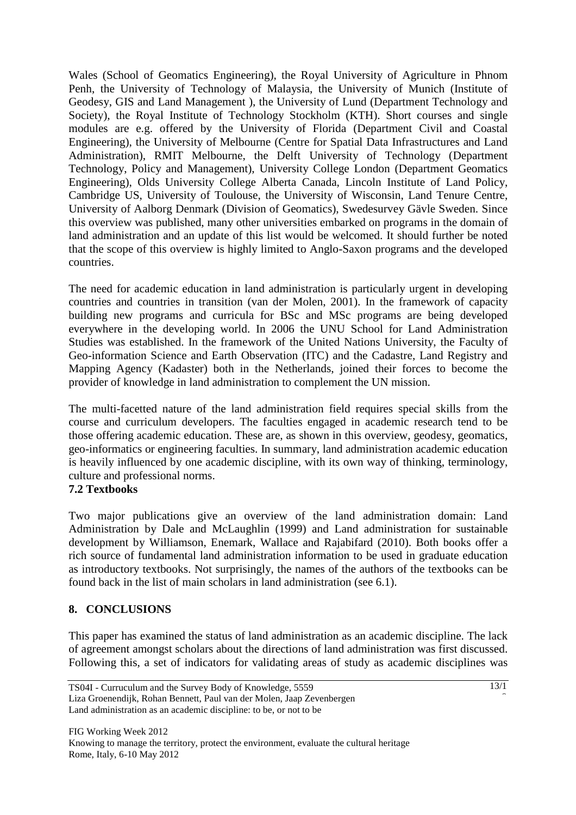Wales (School of Geomatics Engineering), the Royal University of Agriculture in Phnom Penh, the University of Technology of Malaysia, the University of Munich (Institute of Geodesy, GIS and Land Management ), the University of Lund (Department Technology and Society), the Royal Institute of Technology Stockholm (KTH). Short courses and single modules are e.g. offered by the University of Florida (Department Civil and Coastal Engineering), the University of Melbourne (Centre for Spatial Data Infrastructures and Land Administration), RMIT Melbourne, the Delft University of Technology (Department Technology, Policy and Management), University College London (Department Geomatics Engineering), Olds University College Alberta Canada, Lincoln Institute of Land Policy, Cambridge US, University of Toulouse, the University of Wisconsin, Land Tenure Centre, University of Aalborg Denmark (Division of Geomatics), Swedesurvey Gävle Sweden. Since this overview was published, many other universities embarked on programs in the domain of land administration and an update of this list would be welcomed. It should further be noted that the scope of this overview is highly limited to Anglo-Saxon programs and the developed countries.

The need for academic education in land administration is particularly urgent in developing countries and countries in transition (van der Molen, 2001). In the framework of capacity building new programs and curricula for BSc and MSc programs are being developed everywhere in the developing world. In 2006 the UNU School for Land Administration Studies was established. In the framework of the United Nations University, the Faculty of Geo-information Science and Earth Observation (ITC) and the Cadastre, Land Registry and Mapping Agency (Kadaster) both in the Netherlands, joined their forces to become the provider of knowledge in land administration to complement the UN mission.

The multi-facetted nature of the land administration field requires special skills from the course and curriculum developers. The faculties engaged in academic research tend to be those offering academic education. These are, as shown in this overview, geodesy, geomatics, geo-informatics or engineering faculties. In summary, land administration academic education is heavily influenced by one academic discipline, with its own way of thinking, terminology, culture and professional norms.

## **7.2 Textbooks**

Two major publications give an overview of the land administration domain: Land Administration by Dale and McLaughlin (1999) and Land administration for sustainable development by Williamson, Enemark, Wallace and Rajabifard (2010). Both books offer a rich source of fundamental land administration information to be used in graduate education as introductory textbooks. Not surprisingly, the names of the authors of the textbooks can be found back in the list of main scholars in land administration (see 6.1).

## **8. CONCLUSIONS**

This paper has examined the status of land administration as an academic discipline. The lack of agreement amongst scholars about the directions of land administration was first discussed. Following this, a set of indicators for validating areas of study as academic disciplines was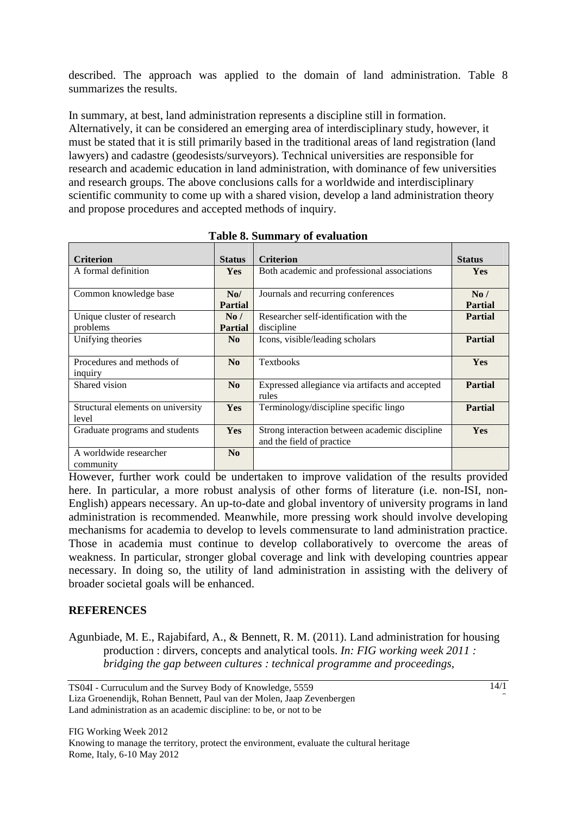described. The approach was applied to the domain of land administration. Table 8 summarizes the results.

In summary, at best, land administration represents a discipline still in formation. Alternatively, it can be considered an emerging area of interdisciplinary study, however, it must be stated that it is still primarily based in the traditional areas of land registration (land lawyers) and cadastre (geodesists/surveyors). Technical universities are responsible for research and academic education in land administration, with dominance of few universities and research groups. The above conclusions calls for a worldwide and interdisciplinary scientific community to come up with a shared vision, develop a land administration theory and propose procedures and accepted methods of inquiry.

| <b>Criterion</b>                  | <b>Status</b>      | <b>Criterion</b>                                | <b>Status</b>          |
|-----------------------------------|--------------------|-------------------------------------------------|------------------------|
|                                   |                    |                                                 |                        |
| A formal definition               | <b>Yes</b>         | Both academic and professional associations     | Yes                    |
|                                   |                    |                                                 |                        |
| Common knowledge base             | No/                | Journals and recurring conferences              | $\overline{\bf N_0}$ / |
|                                   | <b>Partial</b>     |                                                 | <b>Partial</b>         |
| Unique cluster of research        | $\overline{N_0}$ / | Researcher self-identification with the         | <b>Partial</b>         |
| problems                          | <b>Partial</b>     | discipline                                      |                        |
| Unifying theories                 | N <sub>0</sub>     | Icons, visible/leading scholars                 | <b>Partial</b>         |
|                                   |                    |                                                 |                        |
| Procedures and methods of         | No                 | Textbooks                                       | Yes                    |
| inquiry                           |                    |                                                 |                        |
| Shared vision                     | No                 | Expressed allegiance via artifacts and accepted | <b>Partial</b>         |
|                                   |                    | rules                                           |                        |
| Structural elements on university | <b>Yes</b>         | Terminology/discipline specific lingo           | <b>Partial</b>         |
| level                             |                    |                                                 |                        |
| Graduate programs and students    | Yes                | Strong interaction between academic discipline  | Yes                    |
|                                   |                    | and the field of practice                       |                        |
| A worldwide researcher            | N <sub>0</sub>     |                                                 |                        |
| community                         |                    |                                                 |                        |

**Table 8. Summary of evaluation** 

However, further work could be undertaken to improve validation of the results provided here. In particular, a more robust analysis of other forms of literature (i.e. non-ISI, non-English) appears necessary. An up-to-date and global inventory of university programs in land administration is recommended. Meanwhile, more pressing work should involve developing mechanisms for academia to develop to levels commensurate to land administration practice. Those in academia must continue to develop collaboratively to overcome the areas of weakness. In particular, stronger global coverage and link with developing countries appear necessary. In doing so, the utility of land administration in assisting with the delivery of broader societal goals will be enhanced.

## **REFERENCES**

Agunbiade, M. E., Rajabifard, A., & Bennett, R. M. (2011). Land administration for housing production : dirvers, concepts and analytical tools. *In: FIG working week 2011 : bridging the gap between cultures : technical programme and proceedings,* 

9

FIG Working Week 2012 Knowing to manage the territory, protect the environment, evaluate the cultural heritage Rome, Italy, 6-10 May 2012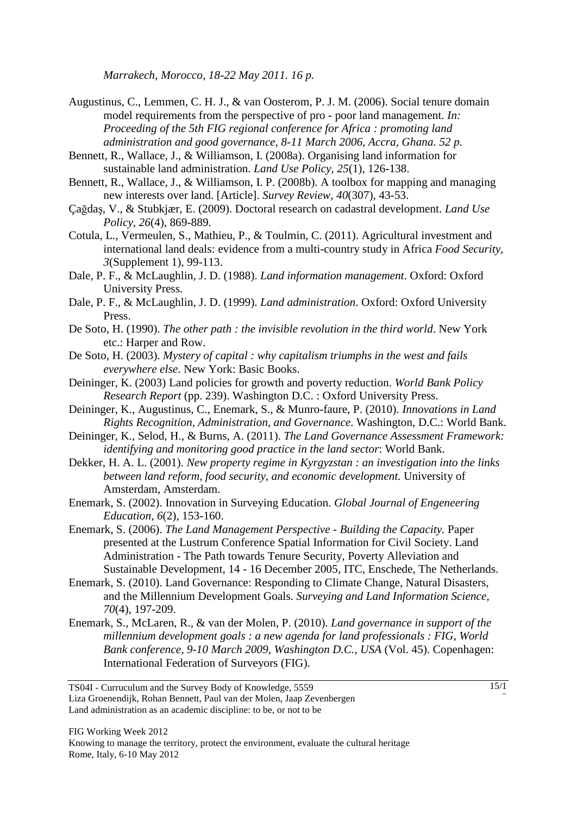*Marrakech, Morocco, 18-22 May 2011. 16 p.* 

- Augustinus, C., Lemmen, C. H. J., & van Oosterom, P. J. M. (2006). Social tenure domain model requirements from the perspective of pro - poor land management. *In: Proceeding of the 5th FIG regional conference for Africa : promoting land administration and good governance, 8-11 March 2006, Accra, Ghana. 52 p.*
- Bennett, R., Wallace, J., & Williamson, I. (2008a). Organising land information for sustainable land administration. *Land Use Policy, 25*(1), 126-138.
- Bennett, R., Wallace, J., & Williamson, I. P. (2008b). A toolbox for mapping and managing new interests over land. [Article]. *Survey Review, 40*(307), 43-53.
- Çağdaş, V., & Stubkjær, E. (2009). Doctoral research on cadastral development. *Land Use Policy, 26*(4), 869-889.
- Cotula, L., Vermeulen, S., Mathieu, P., & Toulmin, C. (2011). Agricultural investment and international land deals: evidence from a multi-country study in Africa *Food Security, 3*(Supplement 1), 99-113.
- Dale, P. F., & McLaughlin, J. D. (1988). *Land information management*. Oxford: Oxford University Press.
- Dale, P. F., & McLaughlin, J. D. (1999). *Land administration*. Oxford: Oxford University Press.
- De Soto, H. (1990). *The other path : the invisible revolution in the third world*. New York etc.: Harper and Row.
- De Soto, H. (2003). *Mystery of capital : why capitalism triumphs in the west and fails everywhere else*. New York: Basic Books.
- Deininger, K. (2003) Land policies for growth and poverty reduction. *World Bank Policy Research Report* (pp. 239). Washington D.C. : Oxford University Press.
- Deininger, K., Augustinus, C., Enemark, S., & Munro-faure, P. (2010). *Innovations in Land Rights Recognition, Administration, and Governance*. Washington, D.C.: World Bank.
- Deininger, K., Selod, H., & Burns, A. (2011). *The Land Governance Assessment Framework: identifying and monitoring good practice in the land sector*: World Bank.
- Dekker, H. A. L. (2001). *New property regime in Kyrgyzstan : an investigation into the links between land reform, food security, and economic development.* University of Amsterdam, Amsterdam.
- Enemark, S. (2002). Innovation in Surveying Education. *Global Journal of Engeneering Education, 6*(2), 153-160.
- Enemark, S. (2006). *The Land Management Perspective Building the Capacity.* Paper presented at the Lustrum Conference Spatial Information for Civil Society. Land Administration - The Path towards Tenure Security, Poverty Alleviation and Sustainable Development, 14 - 16 December 2005, ITC, Enschede, The Netherlands.
- Enemark, S. (2010). Land Governance: Responding to Climate Change, Natural Disasters, and the Millennium Development Goals. *Surveying and Land Information Science, 70*(4), 197-209.
- Enemark, S., McLaren, R., & van der Molen, P. (2010). *Land governance in support of the millennium development goals : a new agenda for land professionals : FIG, World Bank conference, 9-10 March 2009, Washington D.C., USA* (Vol. 45). Copenhagen: International Federation of Surveyors (FIG).

TS04I - Curruculum and the Survey Body of Knowledge, 5559 Liza Groenendijk, Rohan Bennett, Paul van der Molen, Jaap Zevenbergen Land administration as an academic discipline: to be, or not to be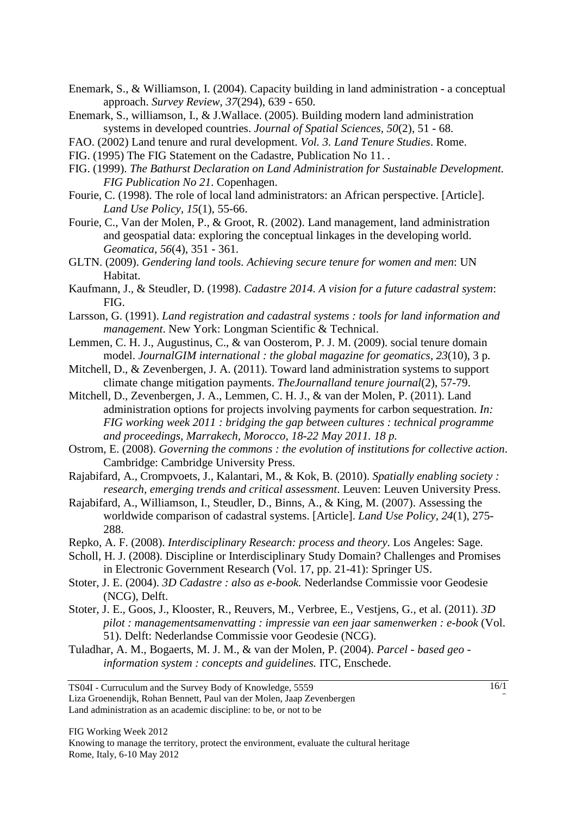- Enemark, S., & Williamson, I. (2004). Capacity building in land administration a conceptual approach. *Survey Review, 37*(294), 639 - 650.
- Enemark, S., williamson, I., & J.Wallace. (2005). Building modern land administration systems in developed countries. *Journal of Spatial Sciences, 50*(2), 51 - 68.
- FAO. (2002) Land tenure and rural development. *Vol. 3. Land Tenure Studies*. Rome.
- FIG. (1995) The FIG Statement on the Cadastre, Publication No 11. .
- FIG. (1999). *The Bathurst Declaration on Land Administration for Sustainable Development. FIG Publication No 21*. Copenhagen.
- Fourie, C. (1998). The role of local land administrators: an African perspective. [Article]. *Land Use Policy, 15*(1), 55-66.
- Fourie, C., Van der Molen, P., & Groot, R. (2002). Land management, land administration and geospatial data: exploring the conceptual linkages in the developing world. *Geomatica, 56*(4), 351 - 361.
- GLTN. (2009). *Gendering land tools. Achieving secure tenure for women and men*: UN Habitat.
- Kaufmann, J., & Steudler, D. (1998). *Cadastre 2014. A vision for a future cadastral system*: FIG.
- Larsson, G. (1991). *Land registration and cadastral systems : tools for land information and management*. New York: Longman Scientific & Technical.
- Lemmen, C. H. J., Augustinus, C., & van Oosterom, P. J. M. (2009). social tenure domain model. *JournalGIM international : the global magazine for geomatics, 23*(10), 3 p.
- Mitchell, D., & Zevenbergen, J. A. (2011). Toward land administration systems to support climate change mitigation payments. *TheJournalland tenure journal*(2), 57-79.
- Mitchell, D., Zevenbergen, J. A., Lemmen, C. H. J., & van der Molen, P. (2011). Land administration options for projects involving payments for carbon sequestration. *In: FIG working week 2011 : bridging the gap between cultures : technical programme and proceedings, Marrakech, Morocco, 18-22 May 2011. 18 p.*
- Ostrom, E. (2008). *Governing the commons : the evolution of institutions for collective action*. Cambridge: Cambridge University Press.
- Rajabifard, A., Crompvoets, J., Kalantari, M., & Kok, B. (2010). *Spatially enabling society : research, emerging trends and critical assessment*. Leuven: Leuven University Press.
- Rajabifard, A., Williamson, I., Steudler, D., Binns, A., & King, M. (2007). Assessing the worldwide comparison of cadastral systems. [Article]. *Land Use Policy, 24*(1), 275- 288.
- Repko, A. F. (2008). *Interdisciplinary Research: process and theory*. Los Angeles: Sage.
- Scholl, H. J. (2008). Discipline or Interdisciplinary Study Domain? Challenges and Promises in Electronic Government Research (Vol. 17, pp. 21-41): Springer US.
- Stoter, J. E. (2004). *3D Cadastre : also as e-book.* Nederlandse Commissie voor Geodesie (NCG), Delft.
- Stoter, J. E., Goos, J., Klooster, R., Reuvers, M., Verbree, E., Vestjens, G., et al. (2011). *3D pilot : managementsamenvatting : impressie van een jaar samenwerken : e-book* (Vol. 51). Delft: Nederlandse Commissie voor Geodesie (NCG).
- Tuladhar, A. M., Bogaerts, M. J. M., & van der Molen, P. (2004). *Parcel based geo information system : concepts and guidelines.* ITC, Enschede.

TS04I - Curruculum and the Survey Body of Knowledge, 5559 Liza Groenendijk, Rohan Bennett, Paul van der Molen, Jaap Zevenbergen Land administration as an academic discipline: to be, or not to be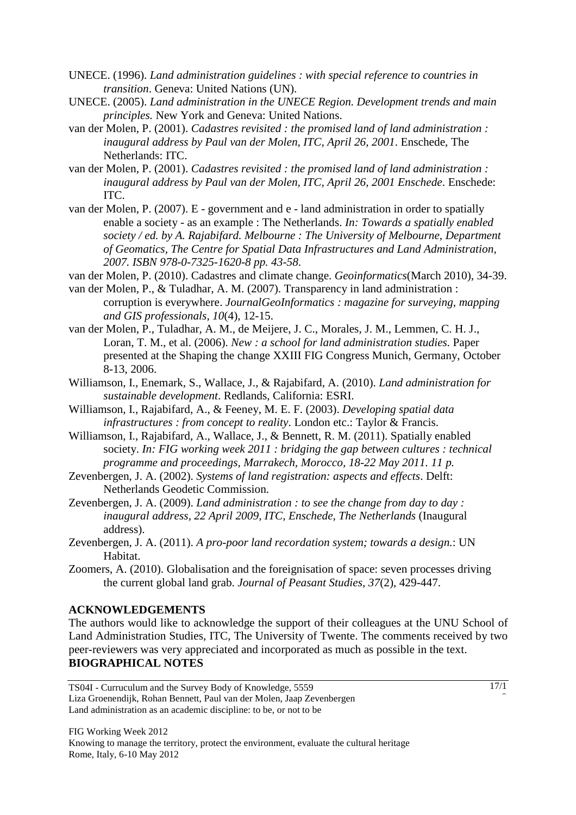- UNECE. (1996). *Land administration guidelines : with special reference to countries in transition*. Geneva: United Nations (UN).
- UNECE. (2005). *Land administration in the UNECE Region. Development trends and main principles.* New York and Geneva: United Nations.
- van der Molen, P. (2001). *Cadastres revisited : the promised land of land administration : inaugural address by Paul van der Molen, ITC, April 26, 2001*. Enschede, The Netherlands: ITC.
- van der Molen, P. (2001). *Cadastres revisited : the promised land of land administration : inaugural address by Paul van der Molen, ITC, April 26, 2001 Enschede*. Enschede: ITC.
- van der Molen, P. (2007). E government and e land administration in order to spatially enable a society - as an example : The Netherlands. *In: Towards a spatially enabled society / ed. by A. Rajabifard. Melbourne : The University of Melbourne, Department of Geomatics, The Centre for Spatial Data Infrastructures and Land Administration, 2007. ISBN 978-0-7325-1620-8 pp. 43-58*.
- van der Molen, P. (2010). Cadastres and climate change. *Geoinformatics*(March 2010), 34-39.
- van der Molen, P., & Tuladhar, A. M. (2007). Transparency in land administration : corruption is everywhere. *JournalGeoInformatics : magazine for surveying, mapping and GIS professionals, 10*(4), 12-15.
- van der Molen, P., Tuladhar, A. M., de Meijere, J. C., Morales, J. M., Lemmen, C. H. J., Loran, T. M., et al. (2006). *New : a school for land administration studies.* Paper presented at the Shaping the change XXIII FIG Congress Munich, Germany, October 8-13, 2006.
- Williamson, I., Enemark, S., Wallace, J., & Rajabifard, A. (2010). *Land administration for sustainable development*. Redlands, California: ESRI.
- Williamson, I., Rajabifard, A., & Feeney, M. E. F. (2003). *Developing spatial data infrastructures : from concept to reality*. London etc.: Taylor & Francis.
- Williamson, I., Rajabifard, A., Wallace, J., & Bennett, R. M. (2011). Spatially enabled society. *In: FIG working week 2011 : bridging the gap between cultures : technical programme and proceedings, Marrakech, Morocco, 18-22 May 2011. 11 p.*
- Zevenbergen, J. A. (2002). *Systems of land registration: aspects and effects*. Delft: Netherlands Geodetic Commission.
- Zevenbergen, J. A. (2009). *Land administration : to see the change from day to day : inaugural address, 22 April 2009, ITC, Enschede, The Netherlands* (Inaugural address).
- Zevenbergen, J. A. (2011). *A pro-poor land recordation system; towards a design.*: UN Habitat.
- Zoomers, A. (2010). Globalisation and the foreignisation of space: seven processes driving the current global land grab. *Journal of Peasant Studies, 37*(2), 429-447.

#### **ACKNOWLEDGEMENTS**

The authors would like to acknowledge the support of their colleagues at the UNU School of Land Administration Studies, ITC, The University of Twente. The comments received by two peer-reviewers was very appreciated and incorporated as much as possible in the text. **BIOGRAPHICAL NOTES** 

TS04I - Curruculum and the Survey Body of Knowledge, 5559 Liza Groenendijk, Rohan Bennett, Paul van der Molen, Jaap Zevenbergen Land administration as an academic discipline: to be, or not to be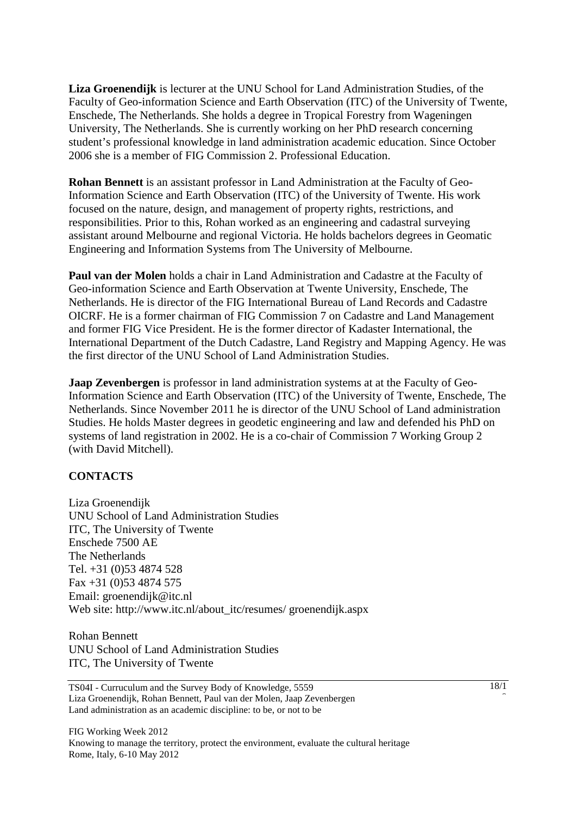**Liza Groenendijk** is lecturer at the UNU School for Land Administration Studies, of the Faculty of Geo-information Science and Earth Observation (ITC) of the University of Twente, Enschede, The Netherlands. She holds a degree in Tropical Forestry from Wageningen University, The Netherlands. She is currently working on her PhD research concerning student's professional knowledge in land administration academic education. Since October 2006 she is a member of FIG Commission 2. Professional Education.

**Rohan Bennett** is an assistant professor in Land Administration at the Faculty of Geo-Information Science and Earth Observation (ITC) of the University of Twente. His work focused on the nature, design, and management of property rights, restrictions, and responsibilities. Prior to this, Rohan worked as an engineering and cadastral surveying assistant around Melbourne and regional Victoria. He holds bachelors degrees in Geomatic Engineering and Information Systems from The University of Melbourne.

**Paul van der Molen** holds a chair in Land Administration and Cadastre at the Faculty of Geo-information Science and Earth Observation at Twente University, Enschede, The Netherlands. He is director of the FIG International Bureau of Land Records and Cadastre OICRF. He is a former chairman of FIG Commission 7 on Cadastre and Land Management and former FIG Vice President. He is the former director of Kadaster International, the International Department of the Dutch Cadastre, Land Registry and Mapping Agency. He was the first director of the UNU School of Land Administration Studies.

**Jaap Zevenbergen** is professor in land administration systems at at the Faculty of Geo-Information Science and Earth Observation (ITC) of the University of Twente, Enschede, The Netherlands. Since November 2011 he is director of the UNU School of Land administration Studies. He holds Master degrees in geodetic engineering and law and defended his PhD on systems of land registration in 2002. He is a co-chair of Commission 7 Working Group 2 (with David Mitchell).

#### **CONTACTS**

Liza Groenendijk UNU School of Land Administration Studies ITC, The University of Twente Enschede 7500 AE The Netherlands Tel. +31 (0)53 4874 528 Fax +31 (0)53 4874 575 Email: groenendijk@itc.nl Web site: http://www.itc.nl/about\_itc/resumes/ groenendijk.aspx

Rohan Bennett UNU School of Land Administration Studies ITC, The University of Twente

TS04I - Curruculum and the Survey Body of Knowledge, 5559 Liza Groenendijk, Rohan Bennett, Paul van der Molen, Jaap Zevenbergen Land administration as an academic discipline: to be, or not to be

FIG Working Week 2012 Knowing to manage the territory, protect the environment, evaluate the cultural heritage Rome, Italy, 6-10 May 2012

18/1 9